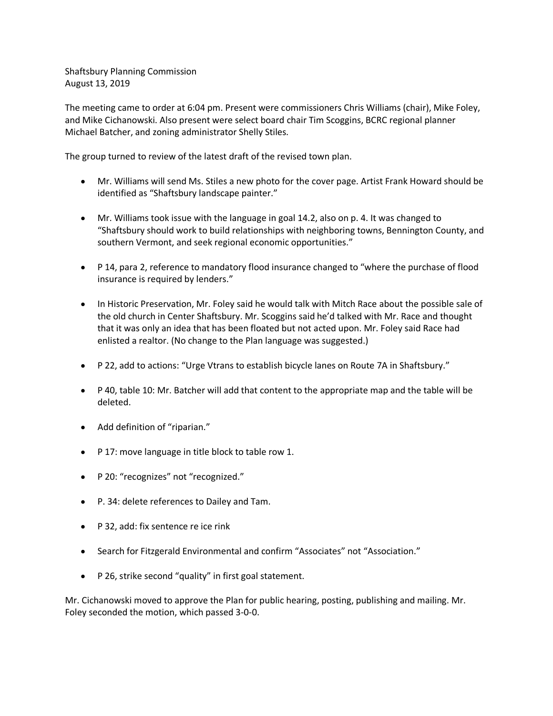Shaftsbury Planning Commission August 13, 2019

The meeting came to order at 6:04 pm. Present were commissioners Chris Williams (chair), Mike Foley, and Mike Cichanowski. Also present were select board chair Tim Scoggins, BCRC regional planner Michael Batcher, and zoning administrator Shelly Stiles.

The group turned to review of the latest draft of the revised town plan.

- Mr. Williams will send Ms. Stiles a new photo for the cover page. Artist Frank Howard should be identified as "Shaftsbury landscape painter."
- Mr. Williams took issue with the language in goal 14.2, also on p. 4. It was changed to "Shaftsbury should work to build relationships with neighboring towns, Bennington County, and southern Vermont, and seek regional economic opportunities."
- P 14, para 2, reference to mandatory flood insurance changed to "where the purchase of flood insurance is required by lenders."
- In Historic Preservation, Mr. Foley said he would talk with Mitch Race about the possible sale of the old church in Center Shaftsbury. Mr. Scoggins said he'd talked with Mr. Race and thought that it was only an idea that has been floated but not acted upon. Mr. Foley said Race had enlisted a realtor. (No change to the Plan language was suggested.)
- P 22, add to actions: "Urge Vtrans to establish bicycle lanes on Route 7A in Shaftsbury."
- P 40, table 10: Mr. Batcher will add that content to the appropriate map and the table will be deleted.
- Add definition of "riparian."
- P 17: move language in title block to table row 1.
- P 20: "recognizes" not "recognized."
- P. 34: delete references to Dailey and Tam.
- P 32, add: fix sentence re ice rink
- Search for Fitzgerald Environmental and confirm "Associates" not "Association."
- P 26, strike second "quality" in first goal statement.

Mr. Cichanowski moved to approve the Plan for public hearing, posting, publishing and mailing. Mr. Foley seconded the motion, which passed 3-0-0.